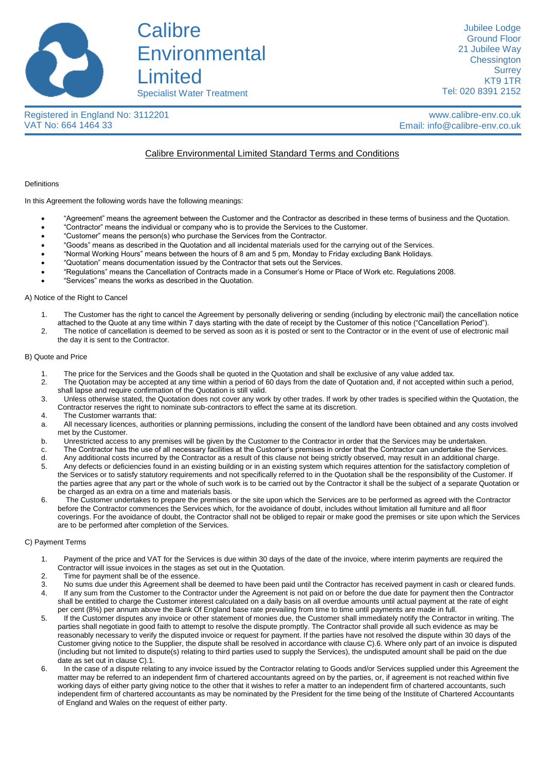

**Calibre Environmental** Limited Specialist Water Treatment

Registered in England No: 3112201 VAT No: 664 1464 33

www.calibre-env.co.uk Email: info@calibre-env.co.uk

# Calibre Environmental Limited Standard Terms and Conditions

#### **Definitions**

In this Agreement the following words have the following meanings:

- "Agreement" means the agreement between the Customer and the Contractor as described in these terms of business and the Quotation.
- "Contractor" means the individual or company who is to provide the Services to the Customer.
- "Customer" means the person(s) who purchase the Services from the Contractor.
- "Goods" means as described in the Quotation and all incidental materials used for the carrying out of the Services.
- "Normal Working Hours" means between the hours of 8 am and 5 pm, Monday to Friday excluding Bank Holidays.
- "Quotation" means documentation issued by the Contractor that sets out the Services.
- "Regulations" means the Cancellation of Contracts made in a Consumer's Home or Place of Work etc. Regulations 2008.
- "Services" means the works as described in the Quotation.

#### A) Notice of the Right to Cancel

- 1. The Customer has the right to cancel the Agreement by personally delivering or sending (including by electronic mail) the cancellation notice attached to the Quote at any time within 7 days starting with the date of receipt by the Customer of this notice ("Cancellation Period").
- 2. The notice of cancellation is deemed to be served as soon as it is posted or sent to the Contractor or in the event of use of electronic mail the day it is sent to the Contractor.

### B) Quote and Price

- 1. The price for the Services and the Goods shall be quoted in the Quotation and shall be exclusive of any value added tax.<br>The Quotation may be accepted at any time within a period of 60 days from the date of Quotation an
- 2. The Quotation may be accepted at any time within a period of 60 days from the date of Quotation and, if not accepted within such a period, shall lapse and require confirmation of the Quotation is still valid.
- 3. Unless otherwise stated, the Quotation does not cover any work by other trades. If work by other trades is specified within the Quotation, the Contractor reserves the right to nominate sub-contractors to effect the same at its discretion.
- 4. The Customer warrants that:
- a. All necessary licences, authorities or planning permissions, including the consent of the landlord have been obtained and any costs involved met by the Customer.
- b. Unrestricted access to any premises will be given by the Customer to the Contractor in order that the Services may be undertaken.
- c. The Contractor has the use of all necessary facilities at the Customer's premises in order that the Contractor can undertake the Services.
- d. Any additional costs incurred by the Contractor as a result of this clause not being strictly observed, may result in an additional charge.<br>Any defects or deficiencies found in an existing building or in an existing sys
- Any defects or deficiencies found in an existing building or in an existing system which requires attention for the satisfactory completion of the Services or to satisfy statutory requirements and not specifically referred to in the Quotation shall be the responsibility of the Customer. If the parties agree that any part or the whole of such work is to be carried out by the Contractor it shall be the subject of a separate Quotation or be charged as an extra on a time and materials basis.
- 6. The Customer undertakes to prepare the premises or the site upon which the Services are to be performed as agreed with the Contractor before the Contractor commences the Services which, for the avoidance of doubt, includes without limitation all furniture and all floor coverings. For the avoidance of doubt, the Contractor shall not be obliged to repair or make good the premises or site upon which the Services are to be performed after completion of the Services.

### C) Payment Terms

- 1. Payment of the price and VAT for the Services is due within 30 days of the date of the invoice, where interim payments are required the Contractor will issue invoices in the stages as set out in the Quotation.
- 2. Time for payment shall be of the essence.
- 3. No sums due under this Agreement shall be deemed to have been paid until the Contractor has received payment in cash or cleared funds.
- 4. If any sum from the Customer to the Contractor under the Agreement is not paid on or before the due date for payment then the Contractor shall be entitled to charge the Customer interest calculated on a daily basis on all overdue amounts until actual payment at the rate of eight per cent (8%) per annum above the Bank Of England base rate prevailing from time to time until payments are made in full.
- 5. If the Customer disputes any invoice or other statement of monies due, the Customer shall immediately notify the Contractor in writing. The parties shall negotiate in good faith to attempt to resolve the dispute promptly. The Contractor shall provide all such evidence as may be reasonably necessary to verify the disputed invoice or request for payment. If the parties have not resolved the dispute within 30 days of the Customer giving notice to the Supplier, the dispute shall be resolved in accordance with clause C).6. Where only part of an invoice is disputed (including but not limited to dispute(s) relating to third parties used to supply the Services), the undisputed amount shall be paid on the due date as set out in clause C).1.
- 6. In the case of a dispute relating to any invoice issued by the Contractor relating to Goods and/or Services supplied under this Agreement the matter may be referred to an independent firm of chartered accountants agreed on by the parties, or, if agreement is not reached within five working days of either party giving notice to the other that it wishes to refer a matter to an independent firm of chartered accountants, such independent firm of chartered accountants as may be nominated by the President for the time being of the Institute of Chartered Accountants of England and Wales on the request of either party.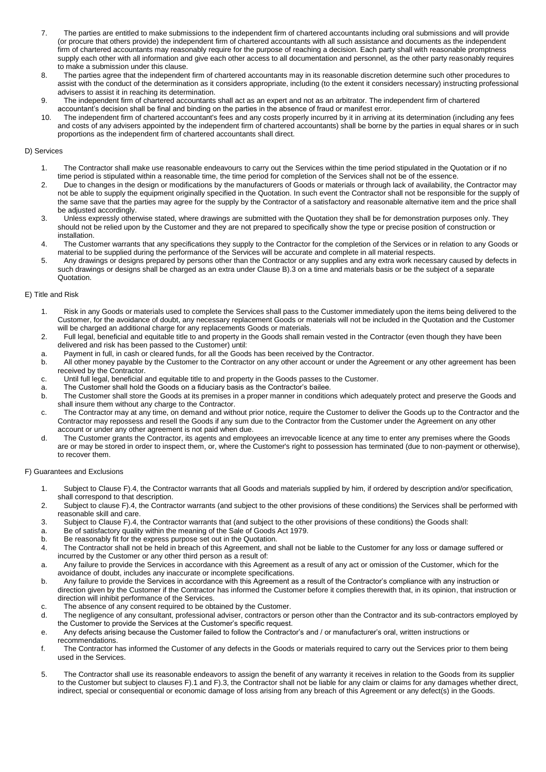- 7. The parties are entitled to make submissions to the independent firm of chartered accountants including oral submissions and will provide (or procure that others provide) the independent firm of chartered accountants with all such assistance and documents as the independent firm of chartered accountants may reasonably require for the purpose of reaching a decision. Each party shall with reasonable promptness supply each other with all information and give each other access to all documentation and personnel, as the other party reasonably requires to make a submission under this clause.
- 8. The parties agree that the independent firm of chartered accountants may in its reasonable discretion determine such other procedures to assist with the conduct of the determination as it considers appropriate, including (to the extent it considers necessary) instructing professional advisers to assist it in reaching its determination.
- 9. The independent firm of chartered accountants shall act as an expert and not as an arbitrator. The independent firm of chartered accountant's decision shall be final and binding on the parties in the absence of fraud or manifest error.
- 10. The independent firm of chartered accountant's fees and any costs properly incurred by it in arriving at its determination (including any fees and costs of any advisers appointed by the independent firm of chartered accountants) shall be borne by the parties in equal shares or in such proportions as the independent firm of chartered accountants shall direct.

## D) Services

- 1. The Contractor shall make use reasonable endeavours to carry out the Services within the time period stipulated in the Quotation or if no time period is stipulated within a reasonable time, the time period for completion of the Services shall not be of the essence.
- 2. Due to changes in the design or modifications by the manufacturers of Goods or materials or through lack of availability, the Contractor may not be able to supply the equipment originally specified in the Quotation. In such event the Contractor shall not be responsible for the supply of the same save that the parties may agree for the supply by the Contractor of a satisfactory and reasonable alternative item and the price shall be adjusted accordingly.
- 3. Unless expressly otherwise stated, where drawings are submitted with the Quotation they shall be for demonstration purposes only. They should not be relied upon by the Customer and they are not prepared to specifically show the type or precise position of construction or installation.
- 4. The Customer warrants that any specifications they supply to the Contractor for the completion of the Services or in relation to any Goods or material to be supplied during the performance of the Services will be accurate and complete in all material respects.
- 5. Any drawings or designs prepared by persons other than the Contractor or any supplies and any extra work necessary caused by defects in such drawings or designs shall be charged as an extra under Clause B).3 on a time and materials basis or be the subject of a separate Quotation.

## E) Title and Risk

- 1. Risk in any Goods or materials used to complete the Services shall pass to the Customer immediately upon the items being delivered to the Customer, for the avoidance of doubt, any necessary replacement Goods or materials will not be included in the Quotation and the Customer will be charged an additional charge for any replacements Goods or materials.
- 2. Full legal, beneficial and equitable title to and property in the Goods shall remain vested in the Contractor (even though they have been delivered and risk has been passed to the Customer) until:
- a. Payment in full, in cash or cleared funds, for all the Goods has been received by the Contractor.
- b. All other money payable by the Customer to the Contractor on any other account or under the Agreement or any other agreement has been received by the Contractor.
- c. Until full legal, beneficial and equitable title to and property in the Goods passes to the Customer.
- a. The Customer shall hold the Goods on a fiduciary basis as the Contractor's bailee.
- b. The Customer shall store the Goods at its premises in a proper manner in conditions which adequately protect and preserve the Goods and shall insure them without any charge to the Contractor.
- c. The Contractor may at any time, on demand and without prior notice, require the Customer to deliver the Goods up to the Contractor and the Contractor may repossess and resell the Goods if any sum due to the Contractor from the Customer under the Agreement on any other account or under any other agreement is not paid when due.
- d. The Customer grants the Contractor, its agents and employees an irrevocable licence at any time to enter any premises where the Goods are or may be stored in order to inspect them, or, where the Customer's right to possession has terminated (due to non-payment or otherwise), to recover them.

### F) Guarantees and Exclusions

- 1. Subject to Clause F).4, the Contractor warrants that all Goods and materials supplied by him, if ordered by description and/or specification, shall correspond to that description.
- 2. Subject to clause F).4, the Contractor warrants (and subject to the other provisions of these conditions) the Services shall be performed with reasonable skill and care.
- 3. Subject to Clause F).4, the Contractor warrants that (and subject to the other provisions of these conditions) the Goods shall:
- a. Be of satisfactory quality within the meaning of the Sale of Goods Act 1979.
- 
- b. Be reasonably fit for the express purpose set out in the Quotation.<br>4. The Contractor shall not be held in breach of this Agreement, and The Contractor shall not be held in breach of this Agreement, and shall not be liable to the Customer for any loss or damage suffered or incurred by the Customer or any other third person as a result of:
- a. Any failure to provide the Services in accordance with this Agreement as a result of any act or omission of the Customer, which for the avoidance of doubt, includes any inaccurate or incomplete specifications.
- b. Any failure to provide the Services in accordance with this Agreement as a result of the Contractor's compliance with any instruction or direction given by the Customer if the Contractor has informed the Customer before it complies therewith that, in its opinion, that instruction or direction will inhibit performance of the Services.
- c. The absence of any consent required to be obtained by the Customer.
- d. The negligence of any consultant, professional adviser, contractors or person other than the Contractor and its sub-contractors employed by the Customer to provide the Services at the Customer's specific request.
- e. Any defects arising because the Customer failed to follow the Contractor's and / or manufacturer's oral, written instructions or recommendations.
- f. The Contractor has informed the Customer of any defects in the Goods or materials required to carry out the Services prior to them being used in the Services.
- 5. The Contractor shall use its reasonable endeavors to assign the benefit of any warranty it receives in relation to the Goods from its supplier to the Customer but subject to clauses F).1 and F).3, the Contractor shall not be liable for any claim or claims for any damages whether direct, indirect, special or consequential or economic damage of loss arising from any breach of this Agreement or any defect(s) in the Goods.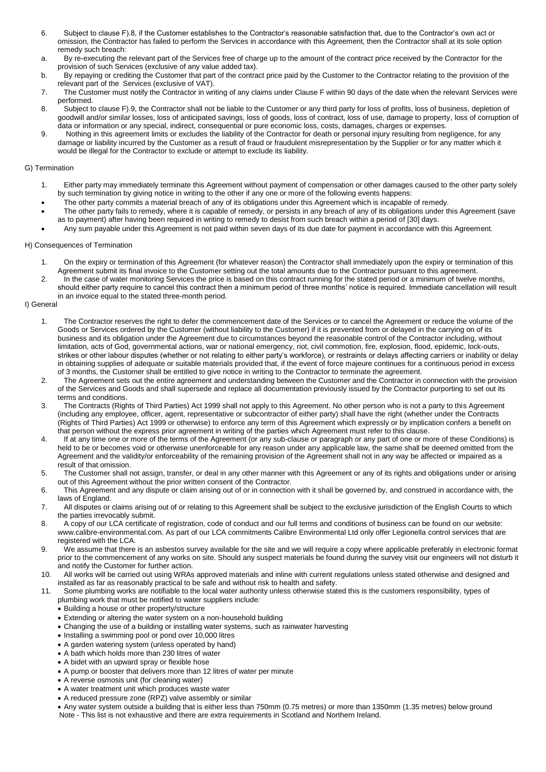- 6. Subject to clause F).8, if the Customer establishes to the Contractor's reasonable satisfaction that, due to the Contractor's own act or omission, the Contractor has failed to perform the Services in accordance with this Agreement, then the Contractor shall at its sole option remedy such breach:
- a. By re-executing the relevant part of the Services free of charge up to the amount of the contract price received by the Contractor for the provision of such Services (exclusive of any value added tax).
- b. By repaying or crediting the Customer that part of the contract price paid by the Customer to the Contractor relating to the provision of the relevant part of the Services (exclusive of VAT).
- 7. The Customer must notify the Contractor in writing of any claims under Clause F within 90 days of the date when the relevant Services were performed.
- 8. Subject to clause F).9, the Contractor shall not be liable to the Customer or any third party for loss of profits, loss of business, depletion of goodwill and/or similar losses, loss of anticipated savings, loss of goods, loss of contract, loss of use, damage to property, loss of corruption of data or information or any special, indirect, consequential or pure economic loss, costs, damages, charges or expenses.
- 9. Nothing in this agreement limits or excludes the liability of the Contractor for death or personal injury resulting from negligence, for any damage or liability incurred by the Customer as a result of fraud or fraudulent misrepresentation by the Supplier or for any matter which it would be illegal for the Contractor to exclude or attempt to exclude its liability.

# G) Termination

- 1. Either party may immediately terminate this Agreement without payment of compensation or other damages caused to the other party solely by such termination by giving notice in writing to the other if any one or more of the following events happens:
- The other party commits a material breach of any of its obligations under this Agreement which is incapable of remedy.
- The other party fails to remedy, where it is capable of remedy, or persists in any breach of any of its obligations under this Agreement (save as to payment) after having been required in writing to remedy to desist from such breach within a period of [30] days.
- Any sum payable under this Agreement is not paid within seven days of its due date for payment in accordance with this Agreement.

### H) Consequences of Termination

- 1. On the expiry or termination of this Agreement (for whatever reason) the Contractor shall immediately upon the expiry or termination of this Agreement submit its final invoice to the Customer setting out the total amounts due to the Contractor pursuant to this agreement.
- 2. In the case of water monitoring Services the price is based on this contract running for the stated period or a minimum of twelve months, should either party require to cancel this contract then a minimum period of three months' notice is required. Immediate cancellation will result in an invoice equal to the stated three-month period.

I) General

- 1. The Contractor reserves the right to defer the commencement date of the Services or to cancel the Agreement or reduce the volume of the Goods or Services ordered by the Customer (without liability to the Customer) if it is prevented from or delayed in the carrying on of its business and its obligation under the Agreement due to circumstances beyond the reasonable control of the Contractor including, without limitation, acts of God, governmental actions, war or national emergency, riot, civil commotion, fire, explosion, flood, epidemic, lock-outs, strikes or other labour disputes (whether or not relating to either party's workforce), or restraints or delays affecting carriers or inability or delay in obtaining supplies of adequate or suitable materials provided that, if the event of force majeure continues for a continuous period in excess of 3 months, the Customer shall be entitled to give notice in writing to the Contractor to terminate the agreement.
- 2. The Agreement sets out the entire agreement and understanding between the Customer and the Contractor in connection with the provision of the Services and Goods and shall supersede and replace all documentation previously issued by the Contractor purporting to set out its terms and conditions.
- 3. The Contracts (Rights of Third Parties) Act 1999 shall not apply to this Agreement. No other person who is not a party to this Agreement (including any employee, officer, agent, representative or subcontractor of either party) shall have the right (whether under the Contracts (Rights of Third Parties) Act 1999 or otherwise) to enforce any term of this Agreement which expressly or by implication confers a benefit on that person without the express prior agreement in writing of the parties which Agreement must refer to this clause.
- 4. If at any time one or more of the terms of the Agreement (or any sub-clause or paragraph or any part of one or more of these Conditions) is held to be or becomes void or otherwise unenforceable for any reason under any applicable law, the same shall be deemed omitted from the Agreement and the validity/or enforceability of the remaining provision of the Agreement shall not in any way be affected or impaired as a result of that omission.
- 5. The Customer shall not assign, transfer, or deal in any other manner with this Agreement or any of its rights and obligations under or arising out of this Agreement without the prior written consent of the Contractor.
- 6. This Agreement and any dispute or claim arising out of or in connection with it shall be governed by, and construed in accordance with, the laws of England.
- 7. All disputes or claims arising out of or relating to this Agreement shall be subject to the exclusive jurisdiction of the English Courts to which the parties irrevocably submit.
- 8. A copy of our LCA certificate of registration, code of conduct and our full terms and conditions of business can be found on our website: www.calibre-environmental.com. As part of our LCA commitments Calibre Environmental Ltd only offer Legionella control services that are registered with the LCA.
- 9. We assume that there is an asbestos survey available for the site and we will require a copy where applicable preferably in electronic format prior to the commencement of any works on site. Should any suspect materials be found during the survey visit our engineers will not disturb it and notify the Customer for further action.
- 10. All works will be carried out using WRAs approved materials and inline with current regulations unless stated otherwise and designed and installed as far as reasonably practical to be safe and without risk to health and safety.
- 11. Some plumbing works are notifiable to the local water authority unless otherwise stated this is the customers responsibility, types of plumbing work that must be notified to water suppliers include:
	- Building a house or other property/structure
	- Extending or altering the water system on a non-household building
	- Changing the use of a building or installing water systems, such as rainwater harvesting
	- Installing a swimming pool or pond over 10,000 litres
	- A garden watering system (unless operated by hand)
	- A bath which holds more than 230 litres of water
	- A bidet with an upward spray or flexible hose
	- A pump or booster that delivers more than 12 litres of water per minute
	- A reverse osmosis unit (for cleaning water)
	- A water treatment unit which produces waste water
	- A reduced pressure zone (RPZ) valve assembly or similar
	- Any water system outside a building that is either less than 750mm (0.75 metres) or more than 1350mm (1.35 metres) below ground Note - This list is not exhaustive and there are extra requirements in Scotland and Northern Ireland.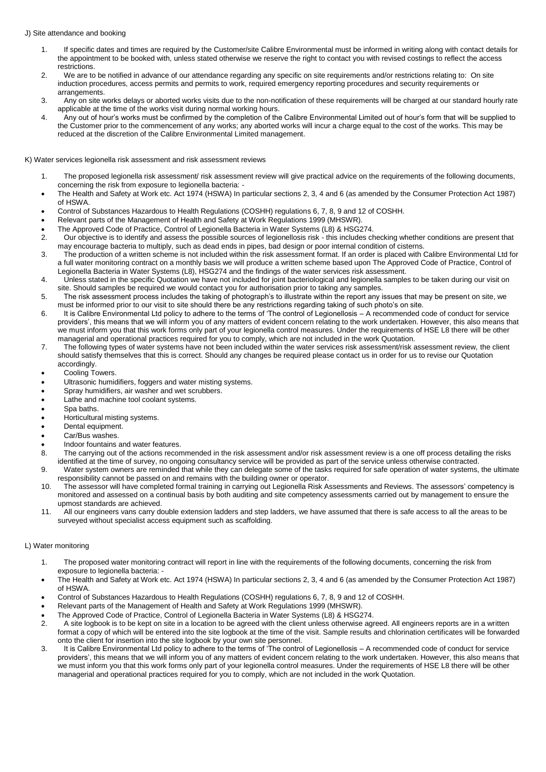## J) Site attendance and booking

- 1. If specific dates and times are required by the Customer/site Calibre Environmental must be informed in writing along with contact details for the appointment to be booked with, unless stated otherwise we reserve the right to contact you with revised costings to reflect the access restrictions.
- 2. We are to be notified in advance of our attendance regarding any specific on site requirements and/or restrictions relating to: On site induction procedures, access permits and permits to work, required emergency reporting procedures and security requirements or arrangements.
- 3. Any on site works delays or aborted works visits due to the non-notification of these requirements will be charged at our standard hourly rate applicable at the time of the works visit during normal working hours.
- 4. Any out of hour's works must be confirmed by the completion of the Calibre Environmental Limited out of hour's form that will be supplied to the Customer prior to the commencement of any works; any aborted works will incur a charge equal to the cost of the works. This may be reduced at the discretion of the Calibre Environmental Limited management.

## K) Water services legionella risk assessment and risk assessment reviews

- 1. The proposed legionella risk assessment/ risk assessment review will give practical advice on the requirements of the following documents, concerning the risk from exposure to legionella bacteria: -
- The Health and Safety at Work etc. Act 1974 (HSWA) In particular sections 2, 3, 4 and 6 (as amended by the Consumer Protection Act 1987) of HSWA.
- Control of Substances Hazardous to Health Regulations (COSHH) regulations 6, 7, 8, 9 and 12 of COSHH.
- Relevant parts of the Management of Health and Safety at Work Regulations 1999 (MHSWR).
- 
- The Approved Code of Practice, Control of Legionella Bacteria in Water Systems (L8) & HSG274.<br>2. Cur objective is to identify and assess the possible sources of legionellosis risk this includes c 2. Our objective is to identify and assess the possible sources of legionellosis risk - this includes checking whether conditions are present that may encourage bacteria to multiply, such as dead ends in pipes, bad design or poor internal condition of cisterns.
- 3. The production of a written scheme is not included within the risk assessment format. If an order is placed with Calibre Environmental Ltd for a full water monitoring contract on a monthly basis we will produce a written scheme based upon The Approved Code of Practice, Control of Legionella Bacteria in Water Systems (L8), HSG274 and the findings of the water services risk assessment.
- 4. Unless stated in the specific Quotation we have not included for joint bacteriological and legionella samples to be taken during our visit on site. Should samples be required we would contact you for authorisation prior to taking any samples.
- 5. The risk assessment process includes the taking of photograph's to illustrate within the report any issues that may be present on site, we must be informed prior to our visit to site should there be any restrictions regarding taking of such photo's on site.
- 6. It is Calibre Environmental Ltd policy to adhere to the terms of 'The control of Legionellosis A recommended code of conduct for service providers', this means that we will inform you of any matters of evident concern relating to the work undertaken. However, this also means that .<br>we must inform you that this work forms only part of your legionella control measures. Under the requirements of HSE L8 there will be other managerial and operational practices required for you to comply, which are not included in the work Quotation.
- 7. The following types of water systems have not been included within the water services risk assessment/risk assessment review, the client should satisfy themselves that this is correct. Should any changes be required please contact us in order for us to revise our Quotation accordingly.
- Cooling Towers.
- Ultrasonic humidifiers, foggers and water misting systems.
- Spray humidifiers, air washer and wet scrubbers.
- Lathe and machine tool coolant systems.
- Spa baths.
- Horticultural misting systems.
- Dental equipment.
- Car/Bus washes.
- Indoor fountains and water features.
- 8. The carrying out of the actions recommended in the risk assessment and/or risk assessment review is a one off process detailing the risks identified at the time of survey, no ongoing consultancy service will be provided as part of the service unless otherwise contracted.
- 9. Water system owners are reminded that while they can delegate some of the tasks required for safe operation of water systems, the ultimate responsibility cannot be passed on and remains with the building owner or operator.
- 10. The assessor will have completed formal training in carrying out Legionella Risk Assessments and Reviews. The assessors' competency is monitored and assessed on a continual basis by both auditing and site competency assessments carried out by management to ensure the upmost standards are achieved.
- 11. All our engineers vans carry double extension ladders and step ladders, we have assumed that there is safe access to all the areas to be surveyed without specialist access equipment such as scaffolding.

# L) Water monitoring

- 1. The proposed water monitoring contract will report in line with the requirements of the following documents, concerning the risk from exposure to legionella bacteria:
- The Health and Safety at Work etc. Act 1974 (HSWA) In particular sections 2, 3, 4 and 6 (as amended by the Consumer Protection Act 1987) of HSWA.
- Control of Substances Hazardous to Health Regulations (COSHH) regulations 6, 7, 8, 9 and 12 of COSHH.
- Relevant parts of the Management of Health and Safety at Work Regulations 1999 (MHSWR).
- The Approved Code of Practice, Control of Legionella Bacteria in Water Systems (L8) & HSG274.
- 2. A site logbook is to be kept on site in a location to be agreed with the client unless otherwise agreed. All engineers reports are in a written format a copy of which will be entered into the site logbook at the time of the visit. Sample results and chlorination certificates will be forwarded onto the client for insertion into the site logbook by your own site personnel.
- 3. It is Calibre Environmental Ltd policy to adhere to the terms of 'The control of Legionellosis A recommended code of conduct for service providers', this means that we will inform you of any matters of evident concern relating to the work undertaken. However, this also means that we must inform you that this work forms only part of your legionella control measures. Under the requirements of HSE L8 there will be other managerial and operational practices required for you to comply, which are not included in the work Quotation.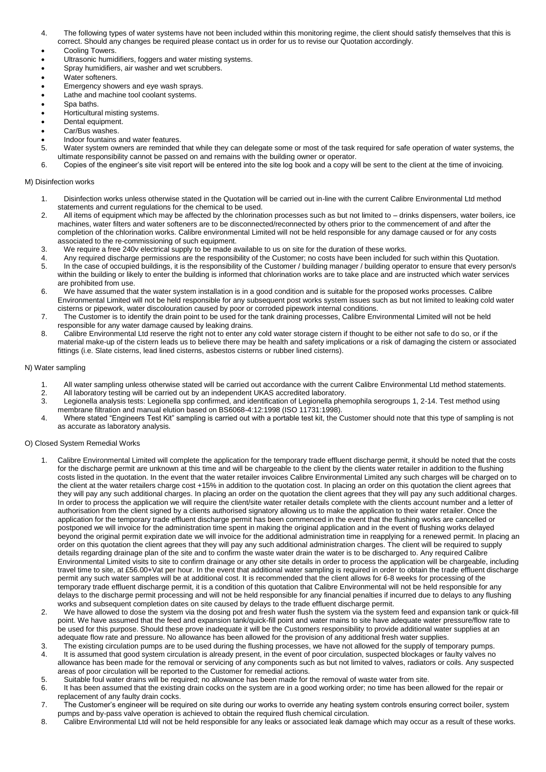- 4. The following types of water systems have not been included within this monitoring regime, the client should satisfy themselves that this is correct. Should any changes be required please contact us in order for us to revise our Quotation accordingly.
- Cooling Towers.
- Ultrasonic humidifiers, foggers and water misting systems.
- Spray humidifiers, air washer and wet scrubbers.
- Water softeners.
- Emergency showers and eye wash sprays.
- Lathe and machine tool coolant systems.
- Spa baths.
- Horticultural misting systems.
- Dental equipment.
- Car/Bus washes.
- Indoor fountains and water features.<br>5. Water system owners are reminded
- Water system owners are reminded that while they can delegate some or most of the task required for safe operation of water systems, the ultimate responsibility cannot be passed on and remains with the building owner or operator.
- 6. Copies of the engineer's site visit report will be entered into the site log book and a copy will be sent to the client at the time of invoicing.

## M) Disinfection works

- 1. Disinfection works unless otherwise stated in the Quotation will be carried out in-line with the current Calibre Environmental Ltd method statements and current regulations for the chemical to be used.
- 2. All items of equipment which may be affected by the chlorination processes such as but not limited to drinks dispensers, water boilers, ice machines, water filters and water softeners are to be disconnected/reconnected by others prior to the commencement of and after the completion of the chlorination works. Calibre environmental Limited will not be held responsible for any damage caused or for any costs associated to the re-commissioning of such equipment.
- 3. We require a free 240v electrical supply to be made available to us on site for the duration of these works.
- 4. Any required discharge permissions are the responsibility of the Customer; no costs have been included for such within this Quotation.<br>5. In the case of occupied buildings, it is the responsibility of the Customer / bui
- 5. In the case of occupied buildings, it is the responsibility of the Customer / building manager / building operator to ensure that every person/s within the building or likely to enter the building is informed that chlorination works are to take place and are instructed which water services are prohibited from use.
- 6. We have assumed that the water system installation is in a good condition and is suitable for the proposed works processes. Calibre Environmental Limited will not be held responsible for any subsequent post works system issues such as but not limited to leaking cold water cisterns or pipework, water discolouration caused by poor or corroded pipework internal conditions.
- 7. The Customer is to identify the drain point to be used for the tank draining processes, Calibre Environmental Limited will not be held responsible for any water damage caused by leaking drains.
- 8. Calibre Environmental Ltd reserve the right not to enter any cold water storage cistern if thought to be either not safe to do so, or if the material make-up of the cistern leads us to believe there may be health and safety implications or a risk of damaging the cistern or associated fittings (i.e. Slate cisterns, lead lined cisterns, asbestos cisterns or rubber lined cisterns).

## N) Water sampling

- 1. All water sampling unless otherwise stated will be carried out accordance with the current Calibre Environmental Ltd method statements.
- 
- 2. All laboratory testing will be carried out by an independent UKAS accredited laboratory. Legionella analysis tests: Legionella spp confirmed, and identification of Legionella phemophila serogroups 1, 2-14. Test method using membrane filtration and manual elution based on BS6068-4:12:1998 (ISO 11731:1998).
- 4. Where stated "Engineers Test Kit" sampling is carried out with a portable test kit, the Customer should note that this type of sampling is not as accurate as laboratory analysis.

# O) Closed System Remedial Works

- 1. Calibre Environmental Limited will complete the application for the temporary trade effluent discharge permit, it should be noted that the costs for the discharge permit are unknown at this time and will be chargeable to the client by the clients water retailer in addition to the flushing costs listed in the quotation. In the event that the water retailer invoices Calibre Environmental Limited any such charges will be charged on to the client at the water retailers charge cost +15% in addition to the quotation cost. In placing an order on this quotation the client agrees that they will pay any such additional charges. In placing an order on the quotation the client agrees that they will pay any such additional charges. In order to process the application we will require the client/site water retailer details complete with the clients account number and a letter of authorisation from the client signed by a clients authorised signatory allowing us to make the application to their water retailer. Once the application for the temporary trade effluent discharge permit has been commenced in the event that the flushing works are cancelled or postponed we will invoice for the administration time spent in making the original application and in the event of flushing works delayed beyond the original permit expiration date we will invoice for the additional administration time in reapplying for a renewed permit. In placing an order on this quotation the client agrees that they will pay any such additional administration charges. The client will be required to supply details regarding drainage plan of the site and to confirm the waste water drain the water is to be discharged to. Any required Calibre Environmental Limited visits to site to confirm drainage or any other site details in order to process the application will be chargeable, including travel time to site, at £56.00+Vat per hour. In the event that additional water sampling is required in order to obtain the trade effluent discharge permit any such water samples will be at additional cost. It is recommended that the client allows for 6-8 weeks for processing of the temporary trade effluent discharge permit, it is a condition of this quotation that Calibre Environmental will not be held responsible for any delays to the discharge permit processing and will not be held responsible for any financial penalties if incurred due to delays to any flushing works and subsequent completion dates on site caused by delays to the trade effluent discharge permit.
- 2. We have allowed to dose the system via the dosing pot and fresh water flush the system via the system feed and expansion tank or quick-fill point. We have assumed that the feed and expansion tank/quick-fill point and water mains to site have adequate water pressure/flow rate to be used for this purpose. Should these prove inadequate it will be the Customers responsibility to provide additional water supplies at an adequate flow rate and pressure. No allowance has been allowed for the provision of any additional fresh water supplies.
- 3. The existing circulation pumps are to be used during the flushing processes, we have not allowed for the supply of temporary pumps.
- 4. It is assumed that good system circulation is already present, in the event of poor circulation, suspected blockages or faulty valves no allowance has been made for the removal or servicing of any components such as but not limited to valves, radiators or coils. Any suspected areas of poor circulation will be reported to the Customer for remedial actions.
- 5. Suitable foul water drains will be required; no allowance has been made for the removal of waste water from site.
- 6. It has been assumed that the existing drain cocks on the system are in a good working order; no time has been allowed for the repair or replacement of any faulty drain cocks.
- 7. The Customer's engineer will be required on site during our works to override any heating system controls ensuring correct boiler, system pumps and by-pass valve operation is achieved to obtain the required flush chemical circulation.
- 8. Calibre Environmental Ltd will not be held responsible for any leaks or associated leak damage which may occur as a result of these works.